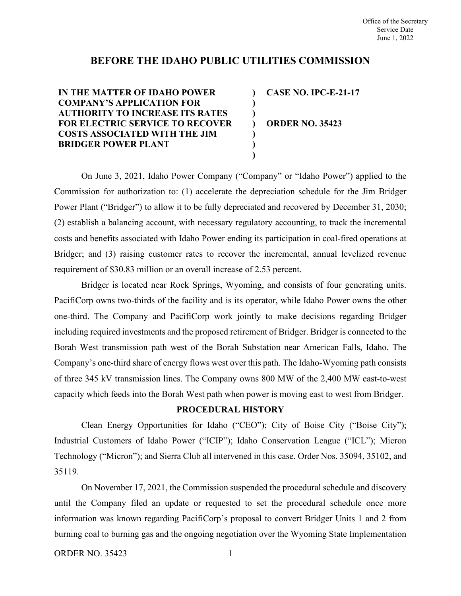# **BEFORE THE IDAHO PUBLIC UTILITIES COMMISSION**

**) ) ) ) ) ) )**

**IN THE MATTER OF IDAHO POWER COMPANY'S APPLICATION FOR AUTHORITY TO INCREASE ITS RATES FOR ELECTRIC SERVICE TO RECOVER COSTS ASSOCIATED WITH THE JIM BRIDGER POWER PLANT**

**CASE NO. IPC-E-21-17**

**ORDER NO. 35423**

On June 3, 2021, Idaho Power Company ("Company" or "Idaho Power") applied to the Commission for authorization to: (1) accelerate the depreciation schedule for the Jim Bridger Power Plant ("Bridger") to allow it to be fully depreciated and recovered by December 31, 2030; (2) establish a balancing account, with necessary regulatory accounting, to track the incremental costs and benefits associated with Idaho Power ending its participation in coal-fired operations at Bridger; and (3) raising customer rates to recover the incremental, annual levelized revenue requirement of \$30.83 million or an overall increase of 2.53 percent.

Bridger is located near Rock Springs, Wyoming, and consists of four generating units. PacifiCorp owns two-thirds of the facility and is its operator, while Idaho Power owns the other one-third. The Company and PacifiCorp work jointly to make decisions regarding Bridger including required investments and the proposed retirement of Bridger. Bridger is connected to the Borah West transmission path west of the Borah Substation near American Falls, Idaho. The Company's one-third share of energy flows west over this path. The Idaho-Wyoming path consists of three 345 kV transmission lines. The Company owns 800 MW of the 2,400 MW east-to-west capacity which feeds into the Borah West path when power is moving east to west from Bridger.

## **PROCEDURAL HISTORY**

Clean Energy Opportunities for Idaho ("CEO"); City of Boise City ("Boise City"); Industrial Customers of Idaho Power ("ICIP"); Idaho Conservation League ("ICL"); Micron Technology ("Micron"); and Sierra Club all intervened in this case. Order Nos. 35094, 35102, and 35119.

On November 17, 2021, the Commission suspended the procedural schedule and discovery until the Company filed an update or requested to set the procedural schedule once more information was known regarding PacifiCorp's proposal to convert Bridger Units 1 and 2 from burning coal to burning gas and the ongoing negotiation over the Wyoming State Implementation

ORDER NO. 35423 1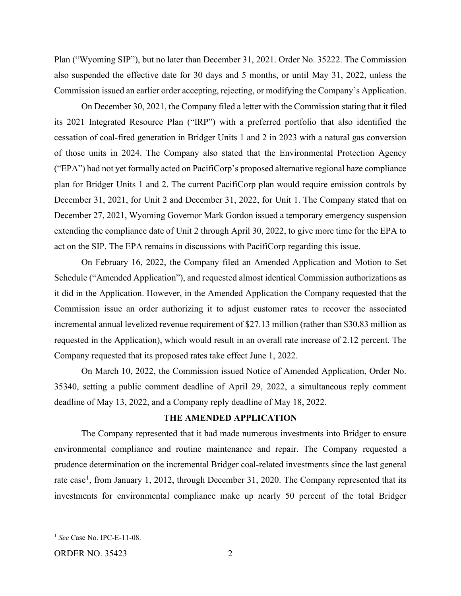Plan ("Wyoming SIP"), but no later than December 31, 2021. Order No. 35222. The Commission also suspended the effective date for 30 days and 5 months, or until May 31, 2022, unless the Commission issued an earlier order accepting, rejecting, or modifying the Company's Application.

On December 30, 2021, the Company filed a letter with the Commission stating that it filed its 2021 Integrated Resource Plan ("IRP") with a preferred portfolio that also identified the cessation of coal-fired generation in Bridger Units 1 and 2 in 2023 with a natural gas conversion of those units in 2024. The Company also stated that the Environmental Protection Agency ("EPA") had not yet formally acted on PacifiCorp's proposed alternative regional haze compliance plan for Bridger Units 1 and 2. The current PacifiCorp plan would require emission controls by December 31, 2021, for Unit 2 and December 31, 2022, for Unit 1. The Company stated that on December 27, 2021, Wyoming Governor Mark Gordon issued a temporary emergency suspension extending the compliance date of Unit 2 through April 30, 2022, to give more time for the EPA to act on the SIP. The EPA remains in discussions with PacifiCorp regarding this issue.

On February 16, 2022, the Company filed an Amended Application and Motion to Set Schedule ("Amended Application"), and requested almost identical Commission authorizations as it did in the Application. However, in the Amended Application the Company requested that the Commission issue an order authorizing it to adjust customer rates to recover the associated incremental annual levelized revenue requirement of \$27.13 million (rather than \$30.83 million as requested in the Application), which would result in an overall rate increase of 2.12 percent. The Company requested that its proposed rates take effect June 1, 2022.

On March 10, 2022, the Commission issued Notice of Amended Application, Order No. 35340, setting a public comment deadline of April 29, 2022, a simultaneous reply comment deadline of May 13, 2022, and a Company reply deadline of May 18, 2022.

## **THE AMENDED APPLICATION**

The Company represented that it had made numerous investments into Bridger to ensure environmental compliance and routine maintenance and repair. The Company requested a prudence determination on the incremental Bridger coal-related investments since the last general rate case<sup>[1](#page-1-0)</sup>, from January 1, 2012, through December 31, 2020. The Company represented that its investments for environmental compliance make up nearly 50 percent of the total Bridger

<span id="page-1-0"></span><sup>1</sup> *See* Case No. IPC-E-11-08.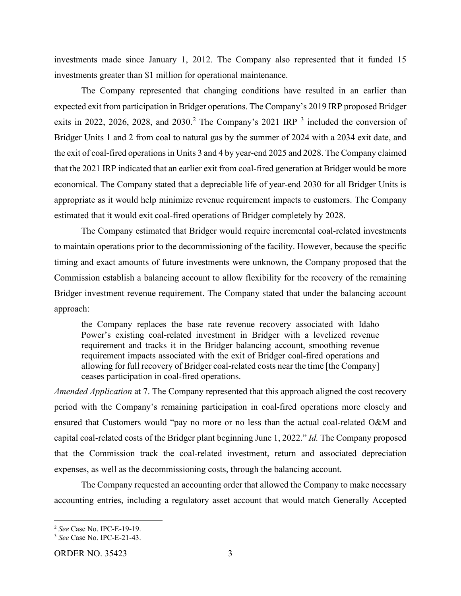investments made since January 1, 2012. The Company also represented that it funded 15 investments greater than \$1 million for operational maintenance.

The Company represented that changing conditions have resulted in an earlier than expected exit from participation in Bridger operations. The Company's 2019 IRP proposed Bridger exits in [2](#page-2-0)022, 2026, 2028, and 20[3](#page-2-1)0.<sup>2</sup> The Company's 2021 IRP  $^3$  included the conversion of Bridger Units 1 and 2 from coal to natural gas by the summer of 2024 with a 2034 exit date, and the exit of coal-fired operations in Units 3 and 4 by year-end 2025 and 2028. The Company claimed that the 2021 IRP indicated that an earlier exit from coal-fired generation at Bridger would be more economical. The Company stated that a depreciable life of year-end 2030 for all Bridger Units is appropriate as it would help minimize revenue requirement impacts to customers. The Company estimated that it would exit coal-fired operations of Bridger completely by 2028.

The Company estimated that Bridger would require incremental coal-related investments to maintain operations prior to the decommissioning of the facility. However, because the specific timing and exact amounts of future investments were unknown, the Company proposed that the Commission establish a balancing account to allow flexibility for the recovery of the remaining Bridger investment revenue requirement. The Company stated that under the balancing account approach:

the Company replaces the base rate revenue recovery associated with Idaho Power's existing coal-related investment in Bridger with a levelized revenue requirement and tracks it in the Bridger balancing account, smoothing revenue requirement impacts associated with the exit of Bridger coal-fired operations and allowing for full recovery of Bridger coal-related costs near the time [the Company] ceases participation in coal-fired operations.

*Amended Application* at 7. The Company represented that this approach aligned the cost recovery period with the Company's remaining participation in coal-fired operations more closely and ensured that Customers would "pay no more or no less than the actual coal-related O&M and capital coal-related costs of the Bridger plant beginning June 1, 2022." *Id.* The Company proposed that the Commission track the coal-related investment, return and associated depreciation expenses, as well as the decommissioning costs, through the balancing account.

The Company requested an accounting order that allowed the Company to make necessary accounting entries, including a regulatory asset account that would match Generally Accepted

<span id="page-2-0"></span><sup>2</sup> *See* Case No. IPC-E-19-19.

<span id="page-2-1"></span><sup>3</sup> *See* Case No. IPC-E-21-43.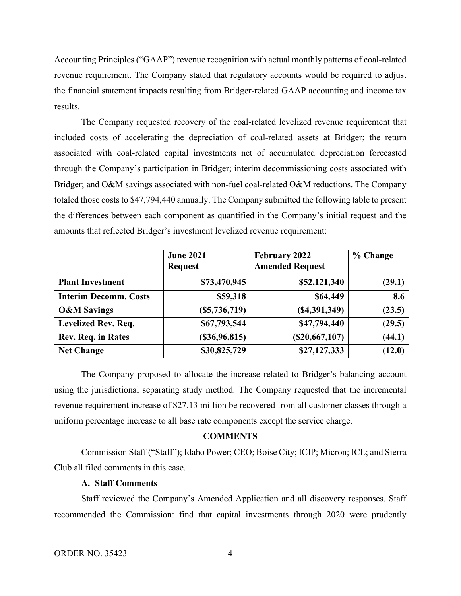Accounting Principles ("GAAP") revenue recognition with actual monthly patterns of coal-related revenue requirement. The Company stated that regulatory accounts would be required to adjust the financial statement impacts resulting from Bridger-related GAAP accounting and income tax results.

The Company requested recovery of the coal-related levelized revenue requirement that included costs of accelerating the depreciation of coal-related assets at Bridger; the return associated with coal-related capital investments net of accumulated depreciation forecasted through the Company's participation in Bridger; interim decommissioning costs associated with Bridger; and O&M savings associated with non-fuel coal-related O&M reductions. The Company totaled those costs to \$47,794,440 annually. The Company submitted the following table to present the differences between each component as quantified in the Company's initial request and the amounts that reflected Bridger's investment levelized revenue requirement:

|                              | <b>June 2021</b> | <b>February 2022</b>   | % Change |
|------------------------------|------------------|------------------------|----------|
|                              | <b>Request</b>   | <b>Amended Request</b> |          |
| <b>Plant Investment</b>      | \$73,470,945     | \$52,121,340           | (29.1)   |
| <b>Interim Decomm. Costs</b> | \$59,318         | \$64,449               | 8.6      |
| <b>O&amp;M Savings</b>       | (S5, 736, 719)   | (S4, 391, 349)         | (23.5)   |
| <b>Levelized Rev. Req.</b>   | \$67,793,544     | \$47,794,440           | (29.5)   |
| Rev. Req. in Rates           | (\$36,96,815)    | (\$20,667,107)         | (44.1)   |
| <b>Net Change</b>            | \$30,825,729     | \$27,127,333           | (12.0)   |

The Company proposed to allocate the increase related to Bridger's balancing account using the jurisdictional separating study method. The Company requested that the incremental revenue requirement increase of \$27.13 million be recovered from all customer classes through a uniform percentage increase to all base rate components except the service charge.

## **COMMENTS**

Commission Staff ("Staff"); Idaho Power; CEO; Boise City; ICIP; Micron; ICL; and Sierra Club all filed comments in this case.

#### **A. Staff Comments**

Staff reviewed the Company's Amended Application and all discovery responses. Staff recommended the Commission: find that capital investments through 2020 were prudently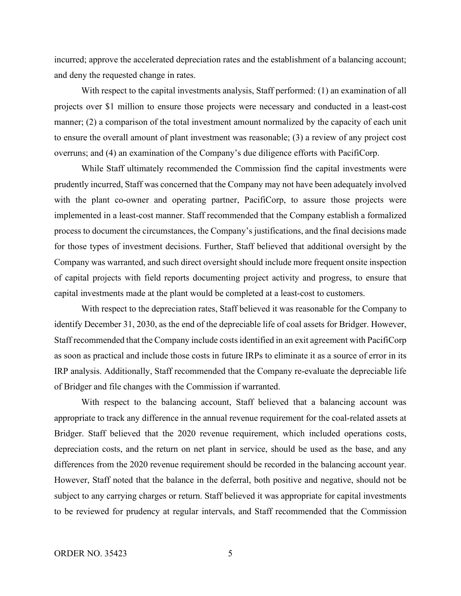incurred; approve the accelerated depreciation rates and the establishment of a balancing account; and deny the requested change in rates.

With respect to the capital investments analysis, Staff performed: (1) an examination of all projects over \$1 million to ensure those projects were necessary and conducted in a least-cost manner; (2) a comparison of the total investment amount normalized by the capacity of each unit to ensure the overall amount of plant investment was reasonable; (3) a review of any project cost overruns; and (4) an examination of the Company's due diligence efforts with PacifiCorp.

While Staff ultimately recommended the Commission find the capital investments were prudently incurred, Staff was concerned that the Company may not have been adequately involved with the plant co-owner and operating partner, PacifiCorp, to assure those projects were implemented in a least-cost manner. Staff recommended that the Company establish a formalized process to document the circumstances, the Company's justifications, and the final decisions made for those types of investment decisions. Further, Staff believed that additional oversight by the Company was warranted, and such direct oversight should include more frequent onsite inspection of capital projects with field reports documenting project activity and progress, to ensure that capital investments made at the plant would be completed at a least-cost to customers.

With respect to the depreciation rates, Staff believed it was reasonable for the Company to identify December 31, 2030, as the end of the depreciable life of coal assets for Bridger. However, Staff recommended that the Company include costs identified in an exit agreement with PacifiCorp as soon as practical and include those costs in future IRPs to eliminate it as a source of error in its IRP analysis. Additionally, Staff recommended that the Company re-evaluate the depreciable life of Bridger and file changes with the Commission if warranted.

With respect to the balancing account, Staff believed that a balancing account was appropriate to track any difference in the annual revenue requirement for the coal-related assets at Bridger. Staff believed that the 2020 revenue requirement, which included operations costs, depreciation costs, and the return on net plant in service, should be used as the base, and any differences from the 2020 revenue requirement should be recorded in the balancing account year. However, Staff noted that the balance in the deferral, both positive and negative, should not be subject to any carrying charges or return. Staff believed it was appropriate for capital investments to be reviewed for prudency at regular intervals, and Staff recommended that the Commission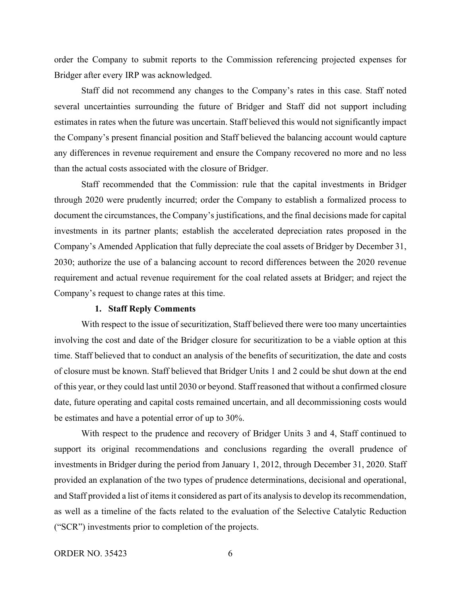order the Company to submit reports to the Commission referencing projected expenses for Bridger after every IRP was acknowledged.

Staff did not recommend any changes to the Company's rates in this case. Staff noted several uncertainties surrounding the future of Bridger and Staff did not support including estimates in rates when the future was uncertain. Staff believed this would not significantly impact the Company's present financial position and Staff believed the balancing account would capture any differences in revenue requirement and ensure the Company recovered no more and no less than the actual costs associated with the closure of Bridger.

Staff recommended that the Commission: rule that the capital investments in Bridger through 2020 were prudently incurred; order the Company to establish a formalized process to document the circumstances, the Company's justifications, and the final decisions made for capital investments in its partner plants; establish the accelerated depreciation rates proposed in the Company's Amended Application that fully depreciate the coal assets of Bridger by December 31, 2030; authorize the use of a balancing account to record differences between the 2020 revenue requirement and actual revenue requirement for the coal related assets at Bridger; and reject the Company's request to change rates at this time.

#### **1. Staff Reply Comments**

With respect to the issue of securitization, Staff believed there were too many uncertainties involving the cost and date of the Bridger closure for securitization to be a viable option at this time. Staff believed that to conduct an analysis of the benefits of securitization, the date and costs of closure must be known. Staff believed that Bridger Units 1 and 2 could be shut down at the end of this year, or they could last until 2030 or beyond. Staff reasoned that without a confirmed closure date, future operating and capital costs remained uncertain, and all decommissioning costs would be estimates and have a potential error of up to 30%.

With respect to the prudence and recovery of Bridger Units 3 and 4, Staff continued to support its original recommendations and conclusions regarding the overall prudence of investments in Bridger during the period from January 1, 2012, through December 31, 2020. Staff provided an explanation of the two types of prudence determinations, decisional and operational, and Staff provided a list of items it considered as part of its analysis to develop its recommendation, as well as a timeline of the facts related to the evaluation of the Selective Catalytic Reduction ("SCR") investments prior to completion of the projects.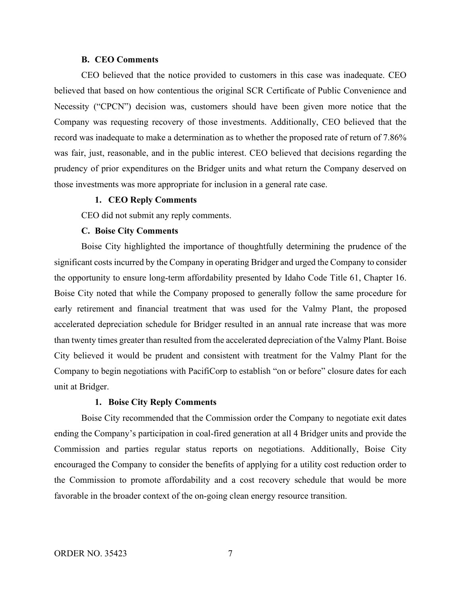#### **B. CEO Comments**

CEO believed that the notice provided to customers in this case was inadequate. CEO believed that based on how contentious the original SCR Certificate of Public Convenience and Necessity ("CPCN") decision was, customers should have been given more notice that the Company was requesting recovery of those investments. Additionally, CEO believed that the record was inadequate to make a determination as to whether the proposed rate of return of 7.86% was fair, just, reasonable, and in the public interest. CEO believed that decisions regarding the prudency of prior expenditures on the Bridger units and what return the Company deserved on those investments was more appropriate for inclusion in a general rate case.

### **1. CEO Reply Comments**

CEO did not submit any reply comments.

#### **C. Boise City Comments**

Boise City highlighted the importance of thoughtfully determining the prudence of the significant costs incurred by the Company in operating Bridger and urged the Company to consider the opportunity to ensure long-term affordability presented by Idaho Code Title 61, Chapter 16. Boise City noted that while the Company proposed to generally follow the same procedure for early retirement and financial treatment that was used for the Valmy Plant, the proposed accelerated depreciation schedule for Bridger resulted in an annual rate increase that was more than twenty times greater than resulted from the accelerated depreciation of the Valmy Plant. Boise City believed it would be prudent and consistent with treatment for the Valmy Plant for the Company to begin negotiations with PacifiCorp to establish "on or before" closure dates for each unit at Bridger.

#### **1. Boise City Reply Comments**

Boise City recommended that the Commission order the Company to negotiate exit dates ending the Company's participation in coal-fired generation at all 4 Bridger units and provide the Commission and parties regular status reports on negotiations. Additionally, Boise City encouraged the Company to consider the benefits of applying for a utility cost reduction order to the Commission to promote affordability and a cost recovery schedule that would be more favorable in the broader context of the on-going clean energy resource transition.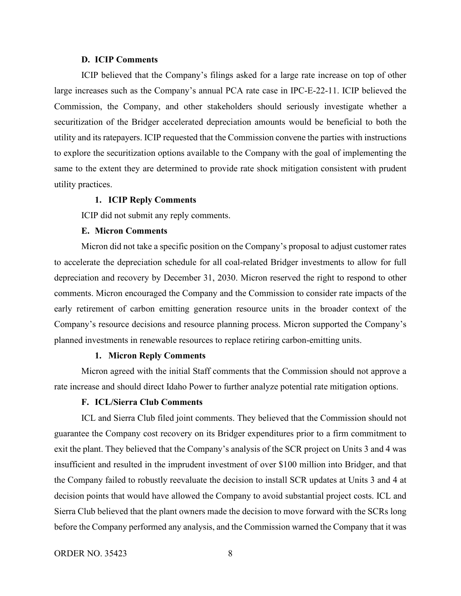#### **D. ICIP Comments**

ICIP believed that the Company's filings asked for a large rate increase on top of other large increases such as the Company's annual PCA rate case in IPC-E-22-11. ICIP believed the Commission, the Company, and other stakeholders should seriously investigate whether a securitization of the Bridger accelerated depreciation amounts would be beneficial to both the utility and its ratepayers. ICIP requested that the Commission convene the parties with instructions to explore the securitization options available to the Company with the goal of implementing the same to the extent they are determined to provide rate shock mitigation consistent with prudent utility practices.

#### **1. ICIP Reply Comments**

ICIP did not submit any reply comments.

#### **E. Micron Comments**

Micron did not take a specific position on the Company's proposal to adjust customer rates to accelerate the depreciation schedule for all coal-related Bridger investments to allow for full depreciation and recovery by December 31, 2030. Micron reserved the right to respond to other comments. Micron encouraged the Company and the Commission to consider rate impacts of the early retirement of carbon emitting generation resource units in the broader context of the Company's resource decisions and resource planning process. Micron supported the Company's planned investments in renewable resources to replace retiring carbon-emitting units.

### **1. Micron Reply Comments**

Micron agreed with the initial Staff comments that the Commission should not approve a rate increase and should direct Idaho Power to further analyze potential rate mitigation options.

## **F. ICL/Sierra Club Comments**

ICL and Sierra Club filed joint comments. They believed that the Commission should not guarantee the Company cost recovery on its Bridger expenditures prior to a firm commitment to exit the plant. They believed that the Company's analysis of the SCR project on Units 3 and 4 was insufficient and resulted in the imprudent investment of over \$100 million into Bridger, and that the Company failed to robustly reevaluate the decision to install SCR updates at Units 3 and 4 at decision points that would have allowed the Company to avoid substantial project costs. ICL and Sierra Club believed that the plant owners made the decision to move forward with the SCRs long before the Company performed any analysis, and the Commission warned the Company that it was

ORDER NO. 35423 8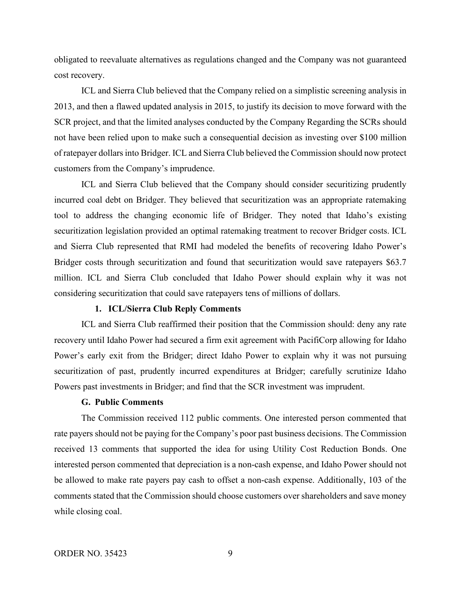obligated to reevaluate alternatives as regulations changed and the Company was not guaranteed cost recovery.

ICL and Sierra Club believed that the Company relied on a simplistic screening analysis in 2013, and then a flawed updated analysis in 2015, to justify its decision to move forward with the SCR project, and that the limited analyses conducted by the Company Regarding the SCRs should not have been relied upon to make such a consequential decision as investing over \$100 million of ratepayer dollars into Bridger. ICL and Sierra Club believed the Commission should now protect customers from the Company's imprudence.

ICL and Sierra Club believed that the Company should consider securitizing prudently incurred coal debt on Bridger. They believed that securitization was an appropriate ratemaking tool to address the changing economic life of Bridger. They noted that Idaho's existing securitization legislation provided an optimal ratemaking treatment to recover Bridger costs. ICL and Sierra Club represented that RMI had modeled the benefits of recovering Idaho Power's Bridger costs through securitization and found that securitization would save ratepayers \$63.7 million. ICL and Sierra Club concluded that Idaho Power should explain why it was not considering securitization that could save ratepayers tens of millions of dollars.

## **1. ICL/Sierra Club Reply Comments**

ICL and Sierra Club reaffirmed their position that the Commission should: deny any rate recovery until Idaho Power had secured a firm exit agreement with PacifiCorp allowing for Idaho Power's early exit from the Bridger; direct Idaho Power to explain why it was not pursuing securitization of past, prudently incurred expenditures at Bridger; carefully scrutinize Idaho Powers past investments in Bridger; and find that the SCR investment was imprudent.

## **G. Public Comments**

The Commission received 112 public comments. One interested person commented that rate payers should not be paying for the Company's poor past business decisions. The Commission received 13 comments that supported the idea for using Utility Cost Reduction Bonds. One interested person commented that depreciation is a non-cash expense, and Idaho Power should not be allowed to make rate payers pay cash to offset a non-cash expense. Additionally, 103 of the comments stated that the Commission should choose customers over shareholders and save money while closing coal.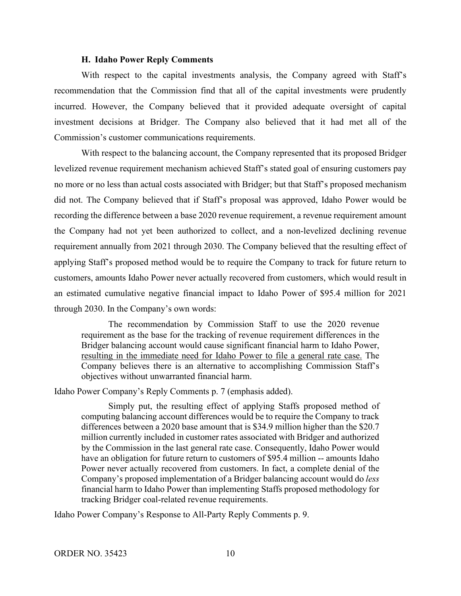### **H. Idaho Power Reply Comments**

With respect to the capital investments analysis, the Company agreed with Staff's recommendation that the Commission find that all of the capital investments were prudently incurred. However, the Company believed that it provided adequate oversight of capital investment decisions at Bridger. The Company also believed that it had met all of the Commission's customer communications requirements.

With respect to the balancing account, the Company represented that its proposed Bridger levelized revenue requirement mechanism achieved Staff's stated goal of ensuring customers pay no more or no less than actual costs associated with Bridger; but that Staff's proposed mechanism did not. The Company believed that if Staff's proposal was approved, Idaho Power would be recording the difference between a base 2020 revenue requirement, a revenue requirement amount the Company had not yet been authorized to collect, and a non-levelized declining revenue requirement annually from 2021 through 2030. The Company believed that the resulting effect of applying Staff's proposed method would be to require the Company to track for future return to customers, amounts Idaho Power never actually recovered from customers, which would result in an estimated cumulative negative financial impact to Idaho Power of \$95.4 million for 2021 through 2030. In the Company's own words:

The recommendation by Commission Staff to use the 2020 revenue requirement as the base for the tracking of revenue requirement differences in the Bridger balancing account would cause significant financial harm to Idaho Power, resulting in the immediate need for Idaho Power to file a general rate case. The Company believes there is an alternative to accomplishing Commission Staff's objectives without unwarranted financial harm.

Idaho Power Company's Reply Comments p. 7 (emphasis added).

Simply put, the resulting effect of applying Staffs proposed method of computing balancing account differences would be to require the Company to track differences between a 2020 base amount that is \$34.9 million higher than the \$20.7 million currently included in customer rates associated with Bridger and authorized by the Commission in the last general rate case. Consequently, Idaho Power would have an obligation for future return to customers of \$95.4 million -- amounts Idaho Power never actually recovered from customers. In fact, a complete denial of the Company's proposed implementation of a Bridger balancing account would do *less* financial harm to Idaho Power than implementing Staffs proposed methodology for tracking Bridger coal-related revenue requirements.

Idaho Power Company's Response to All-Party Reply Comments p. 9.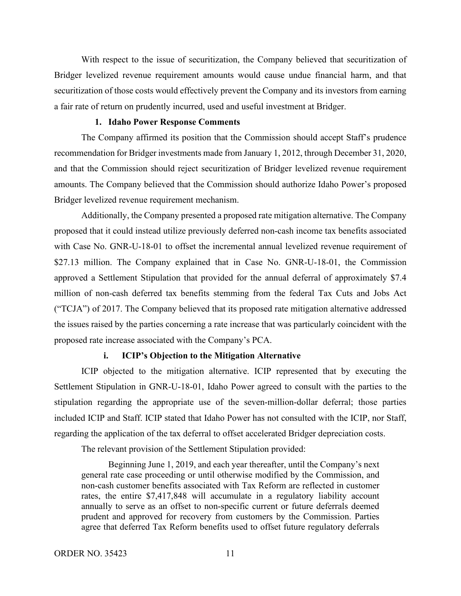With respect to the issue of securitization, the Company believed that securitization of Bridger levelized revenue requirement amounts would cause undue financial harm, and that securitization of those costs would effectively prevent the Company and its investors from earning a fair rate of return on prudently incurred, used and useful investment at Bridger.

## **1. Idaho Power Response Comments**

The Company affirmed its position that the Commission should accept Staff's prudence recommendation for Bridger investments made from January 1, 2012, through December 31, 2020, and that the Commission should reject securitization of Bridger levelized revenue requirement amounts. The Company believed that the Commission should authorize Idaho Power's proposed Bridger levelized revenue requirement mechanism.

Additionally, the Company presented a proposed rate mitigation alternative. The Company proposed that it could instead utilize previously deferred non-cash income tax benefits associated with Case No. GNR-U-18-01 to offset the incremental annual levelized revenue requirement of \$27.13 million. The Company explained that in Case No. GNR-U-18-01, the Commission approved a Settlement Stipulation that provided for the annual deferral of approximately \$7.4 million of non-cash deferred tax benefits stemming from the federal Tax Cuts and Jobs Act ("TCJA") of 2017. The Company believed that its proposed rate mitigation alternative addressed the issues raised by the parties concerning a rate increase that was particularly coincident with the proposed rate increase associated with the Company's PCA.

### **i. ICIP's Objection to the Mitigation Alternative**

ICIP objected to the mitigation alternative. ICIP represented that by executing the Settlement Stipulation in GNR-U-18-01, Idaho Power agreed to consult with the parties to the stipulation regarding the appropriate use of the seven-million-dollar deferral; those parties included ICIP and Staff. ICIP stated that Idaho Power has not consulted with the ICIP, nor Staff, regarding the application of the tax deferral to offset accelerated Bridger depreciation costs.

The relevant provision of the Settlement Stipulation provided:

Beginning June 1, 2019, and each year thereafter, until the Company's next general rate case proceeding or until otherwise modified by the Commission, and non-cash customer benefits associated with Tax Reform are reflected in customer rates, the entire \$7,417,848 will accumulate in a regulatory liability account annually to serve as an offset to non-specific current or future deferrals deemed prudent and approved for recovery from customers by the Commission. Parties agree that deferred Tax Reform benefits used to offset future regulatory deferrals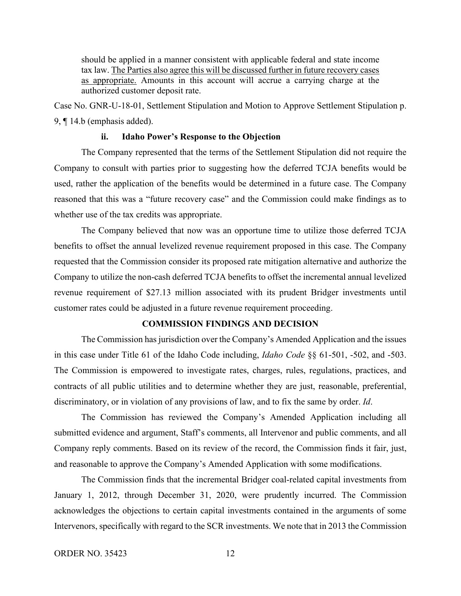should be applied in a manner consistent with applicable federal and state income tax law. The Parties also agree this will be discussed further in future recovery cases as appropriate. Amounts in this account will accrue a carrying charge at the authorized customer deposit rate.

Case No. GNR-U-18-01, Settlement Stipulation and Motion to Approve Settlement Stipulation p. 9, ¶ 14.b (emphasis added).

#### **ii. Idaho Power's Response to the Objection**

The Company represented that the terms of the Settlement Stipulation did not require the Company to consult with parties prior to suggesting how the deferred TCJA benefits would be used, rather the application of the benefits would be determined in a future case. The Company reasoned that this was a "future recovery case" and the Commission could make findings as to whether use of the tax credits was appropriate.

The Company believed that now was an opportune time to utilize those deferred TCJA benefits to offset the annual levelized revenue requirement proposed in this case. The Company requested that the Commission consider its proposed rate mitigation alternative and authorize the Company to utilize the non-cash deferred TCJA benefits to offset the incremental annual levelized revenue requirement of \$27.13 million associated with its prudent Bridger investments until customer rates could be adjusted in a future revenue requirement proceeding.

## **COMMISSION FINDINGS AND DECISION**

The Commission has jurisdiction over the Company's Amended Application and the issues in this case under Title 61 of the Idaho Code including, *Idaho Code* §§ 61-501, -502, and -503. The Commission is empowered to investigate rates, charges, rules, regulations, practices, and contracts of all public utilities and to determine whether they are just, reasonable, preferential, discriminatory, or in violation of any provisions of law, and to fix the same by order. *Id*.

The Commission has reviewed the Company's Amended Application including all submitted evidence and argument, Staff's comments, all Intervenor and public comments, and all Company reply comments. Based on its review of the record, the Commission finds it fair, just, and reasonable to approve the Company's Amended Application with some modifications.

The Commission finds that the incremental Bridger coal-related capital investments from January 1, 2012, through December 31, 2020, were prudently incurred. The Commission acknowledges the objections to certain capital investments contained in the arguments of some Intervenors, specifically with regard to the SCR investments. We note that in 2013 the Commission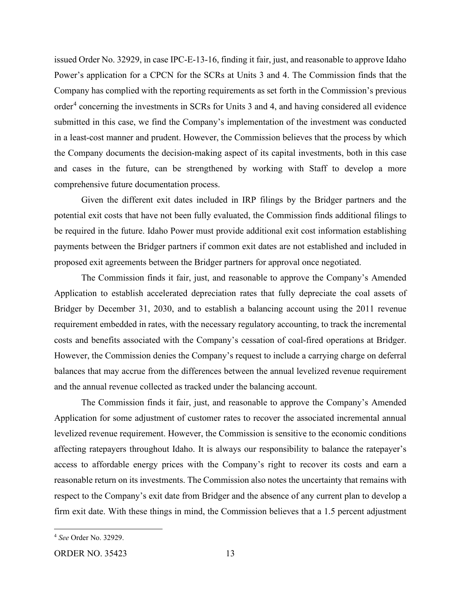issued Order No. 32929, in case IPC-E-13-16, finding it fair, just, and reasonable to approve Idaho Power's application for a CPCN for the SCRs at Units 3 and 4. The Commission finds that the Company has complied with the reporting requirements as set forth in the Commission's previous order<sup>[4](#page-12-0)</sup> concerning the investments in SCRs for Units 3 and 4, and having considered all evidence submitted in this case, we find the Company's implementation of the investment was conducted in a least-cost manner and prudent. However, the Commission believes that the process by which the Company documents the decision-making aspect of its capital investments, both in this case and cases in the future, can be strengthened by working with Staff to develop a more comprehensive future documentation process.

Given the different exit dates included in IRP filings by the Bridger partners and the potential exit costs that have not been fully evaluated, the Commission finds additional filings to be required in the future. Idaho Power must provide additional exit cost information establishing payments between the Bridger partners if common exit dates are not established and included in proposed exit agreements between the Bridger partners for approval once negotiated.

The Commission finds it fair, just, and reasonable to approve the Company's Amended Application to establish accelerated depreciation rates that fully depreciate the coal assets of Bridger by December 31, 2030, and to establish a balancing account using the 2011 revenue requirement embedded in rates, with the necessary regulatory accounting, to track the incremental costs and benefits associated with the Company's cessation of coal-fired operations at Bridger. However, the Commission denies the Company's request to include a carrying charge on deferral balances that may accrue from the differences between the annual levelized revenue requirement and the annual revenue collected as tracked under the balancing account.

The Commission finds it fair, just, and reasonable to approve the Company's Amended Application for some adjustment of customer rates to recover the associated incremental annual levelized revenue requirement. However, the Commission is sensitive to the economic conditions affecting ratepayers throughout Idaho. It is always our responsibility to balance the ratepayer's access to affordable energy prices with the Company's right to recover its costs and earn a reasonable return on its investments. The Commission also notes the uncertainty that remains with respect to the Company's exit date from Bridger and the absence of any current plan to develop a firm exit date. With these things in mind, the Commission believes that a 1.5 percent adjustment

<span id="page-12-0"></span><sup>4</sup> *See* Order No. 32929.

ORDER NO. 35423 13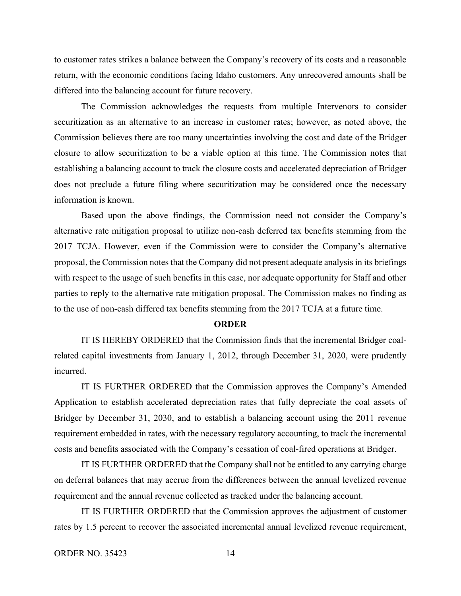to customer rates strikes a balance between the Company's recovery of its costs and a reasonable return, with the economic conditions facing Idaho customers. Any unrecovered amounts shall be differed into the balancing account for future recovery.

The Commission acknowledges the requests from multiple Intervenors to consider securitization as an alternative to an increase in customer rates; however, as noted above, the Commission believes there are too many uncertainties involving the cost and date of the Bridger closure to allow securitization to be a viable option at this time. The Commission notes that establishing a balancing account to track the closure costs and accelerated depreciation of Bridger does not preclude a future filing where securitization may be considered once the necessary information is known.

Based upon the above findings, the Commission need not consider the Company's alternative rate mitigation proposal to utilize non-cash deferred tax benefits stemming from the 2017 TCJA. However, even if the Commission were to consider the Company's alternative proposal, the Commission notes that the Company did not present adequate analysis in its briefings with respect to the usage of such benefits in this case, nor adequate opportunity for Staff and other parties to reply to the alternative rate mitigation proposal. The Commission makes no finding as to the use of non-cash differed tax benefits stemming from the 2017 TCJA at a future time.

#### **ORDER**

IT IS HEREBY ORDERED that the Commission finds that the incremental Bridger coalrelated capital investments from January 1, 2012, through December 31, 2020, were prudently incurred.

IT IS FURTHER ORDERED that the Commission approves the Company's Amended Application to establish accelerated depreciation rates that fully depreciate the coal assets of Bridger by December 31, 2030, and to establish a balancing account using the 2011 revenue requirement embedded in rates, with the necessary regulatory accounting, to track the incremental costs and benefits associated with the Company's cessation of coal-fired operations at Bridger.

IT IS FURTHER ORDERED that the Company shall not be entitled to any carrying charge on deferral balances that may accrue from the differences between the annual levelized revenue requirement and the annual revenue collected as tracked under the balancing account.

IT IS FURTHER ORDERED that the Commission approves the adjustment of customer rates by 1.5 percent to recover the associated incremental annual levelized revenue requirement,